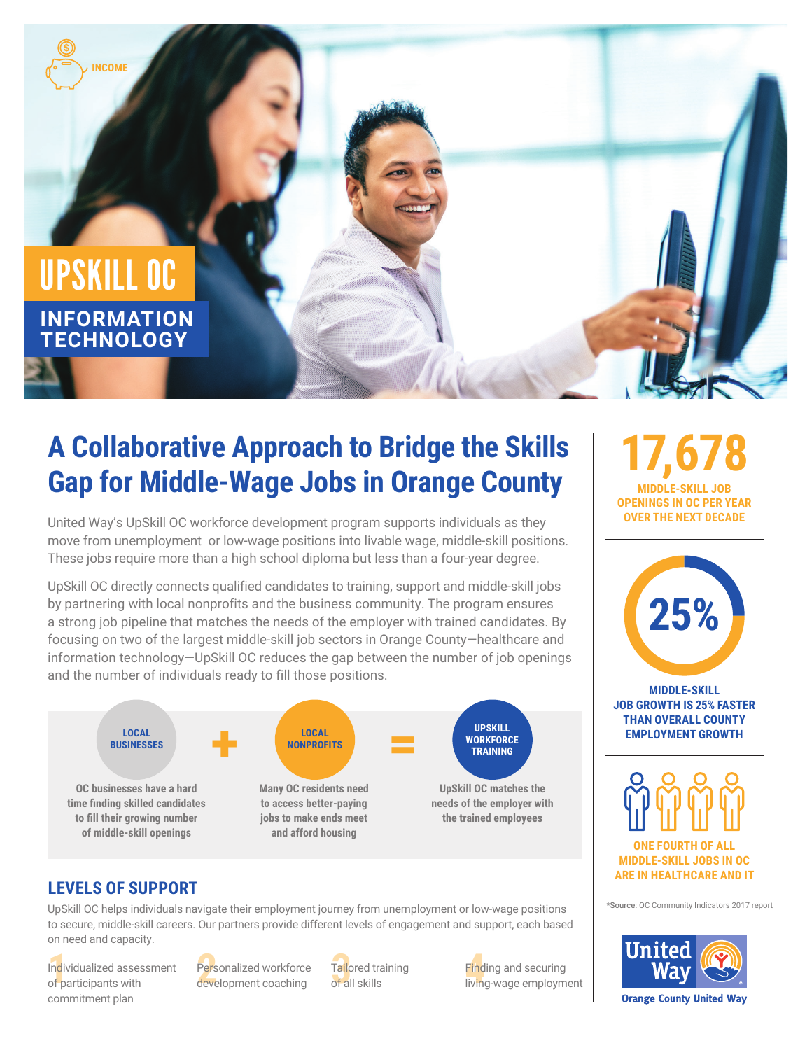

# **A Collaborative Approach to Bridge the Skills Gap for Middle-Wage Jobs in Orange County**

United Way's UpSkill OC workforce development program supports individuals as they move from unemployment or low-wage positions into livable wage, middle-skill positions. These jobs require more than a high school diploma but less than a four-year degree.

UpSkill OC directly connects qualified candidates to training, support and middle-skill jobs by partnering with local nonprofits and the business community. The program ensures a strong job pipeline that matches the needs of the employer with trained candidates. By focusing on two of the largest middle-skill job sectors in Orange County—healthcare and information technology—UpSkill OC reduces the gap between the number of job openings and the number of individuals ready to fill those positions.



## **LEVELS OF SUPPORT**

UpSkill OC helps individuals navigate their employment journey from unemployment or low-wage positions to secure, middle-skill careers. Our partners provide different levels of engagement and support, each based on need and capacity.

Individualized assessment Personalized workforce Tailored training Pind<br>of participants with development coaching of all skills and living Individualized assessment of participants with commitment plan

Personalized workforce development coaching

Tailored training of all skills

Finding and securing living-wage employment

**17,678 MIDDLE-SKILL JOB OPENINGS IN OC PER YEAR OVER THE NEXT DECADE**



**MIDDLE-SKILL JOB GROWTH IS 25% FASTER THAN OVERALL COUNTY EMPLOYMENT GROWTH**



**MIDDLE-SKILL JOBS IN OC ARE IN HEALTHCARE AND IT** 

\*Source: OC Community Indicators 2017 report